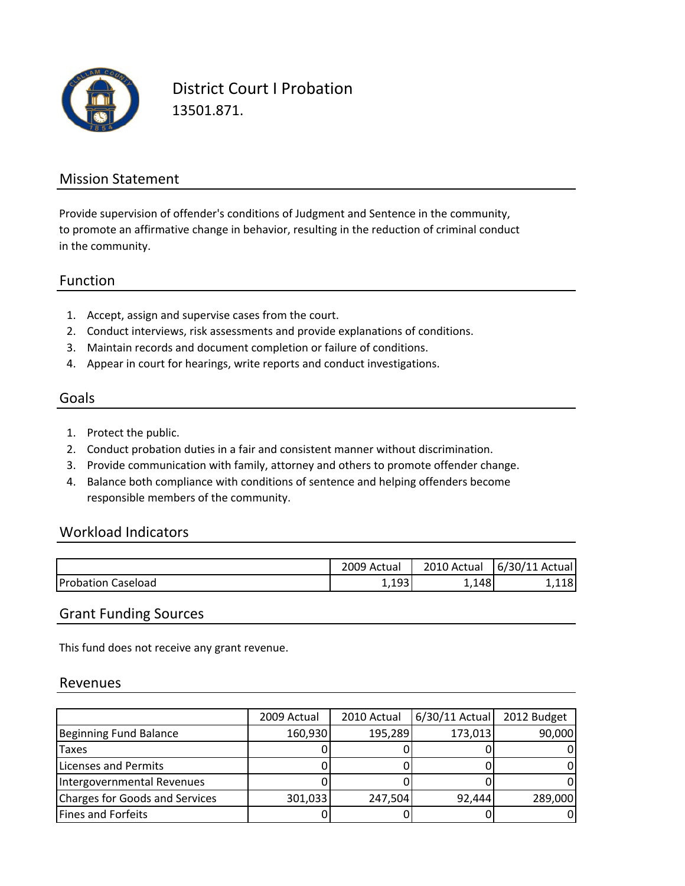

District Court I Probation 13501.871.

#### Mission Statement

to promote an affirmative change in behavior, resulting in the reduction of criminal conduct in the community. Provide supervision of offender's conditions of Judgment and Sentence in the community,

#### Function

- 1. Accept, assign and supervise cases from the court.
- 2. Conduct interviews, risk assessments and provide explanations of conditions.
- 3. Maintain records and document completion or failure of conditions.
- 4. Appear in court for hearings, write reports and conduct investigations.

### Goals

- 1. Protect the public.
- 2. Conduct probation duties in a fair and consistent manner without discrimination.
- 3. Provide communication with family, attorney and others to promote offender change.
- 4. Balance both compliance with conditions of sentence and helping offenders become responsible members of the community.

#### Workload Indicators

|                           | 2009 Actual | 2010 Actual | 6/30/11<br>Actual |
|---------------------------|-------------|-------------|-------------------|
| <b>Probation Caseload</b> | 102         | 1481, ـ     | 10<br>.110.       |

#### Grant Funding Sources

This fund does not receive any grant revenue.

#### Revenues

|                                | 2009 Actual | 2010 Actual | $6/30/11$ Actual | 2012 Budget |
|--------------------------------|-------------|-------------|------------------|-------------|
| Beginning Fund Balance         | 160,930     | 195,289     | 173,013          | 90,000      |
| <b>Taxes</b>                   |             |             |                  |             |
| Licenses and Permits           |             |             |                  |             |
| Intergovernmental Revenues     |             |             |                  |             |
| Charges for Goods and Services | 301,033     | 247,504     | 92,444           | 289,000     |
| <b>Fines and Forfeits</b>      |             |             |                  |             |